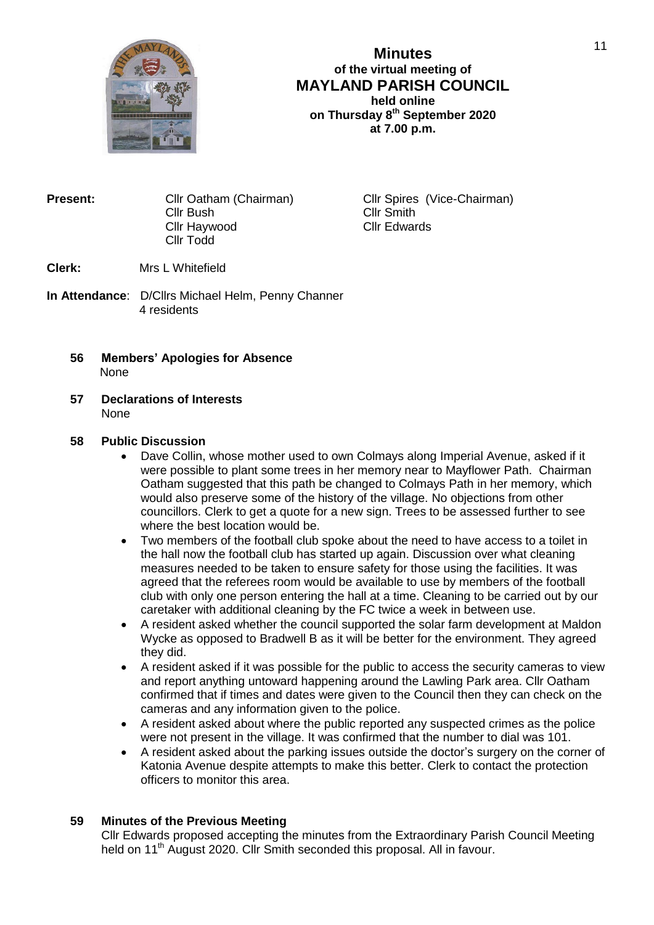

# **Minutes of the virtual meeting of MAYLAND PARISH COUNCIL held online on Thursday 8th September 2020 at 7.00 p.m.**

**Present:** Cllr Oatham (Chairman) Cllr Spires (Vice-Chairman) Cllr Bush Cllr Smith Cllr Haywood Cllr Edwards Cllr Todd

**Clerk:** Mrs L Whitefield

- **In Attendance**: D/Cllrs Michael Helm, Penny Channer 4 residents
	- **56 Members' Apologies for Absence** None
	- **57 Declarations of Interests** None

### **58 Public Discussion**

- Dave Collin, whose mother used to own Colmays along Imperial Avenue, asked if it were possible to plant some trees in her memory near to Mayflower Path. Chairman Oatham suggested that this path be changed to Colmays Path in her memory, which would also preserve some of the history of the village. No objections from other councillors. Clerk to get a quote for a new sign. Trees to be assessed further to see where the best location would be.
- Two members of the football club spoke about the need to have access to a toilet in the hall now the football club has started up again. Discussion over what cleaning measures needed to be taken to ensure safety for those using the facilities. It was agreed that the referees room would be available to use by members of the football club with only one person entering the hall at a time. Cleaning to be carried out by our caretaker with additional cleaning by the FC twice a week in between use.
- A resident asked whether the council supported the solar farm development at Maldon Wycke as opposed to Bradwell B as it will be better for the environment. They agreed they did.
- A resident asked if it was possible for the public to access the security cameras to view and report anything untoward happening around the Lawling Park area. Cllr Oatham confirmed that if times and dates were given to the Council then they can check on the cameras and any information given to the police.
- A resident asked about where the public reported any suspected crimes as the police were not present in the village. It was confirmed that the number to dial was 101.
- A resident asked about the parking issues outside the doctor's surgery on the corner of Katonia Avenue despite attempts to make this better. Clerk to contact the protection officers to monitor this area.

## **59 Minutes of the Previous Meeting**

Cllr Edwards proposed accepting the minutes from the Extraordinary Parish Council Meeting held on 11<sup>th</sup> August 2020. Cllr Smith seconded this proposal. All in favour.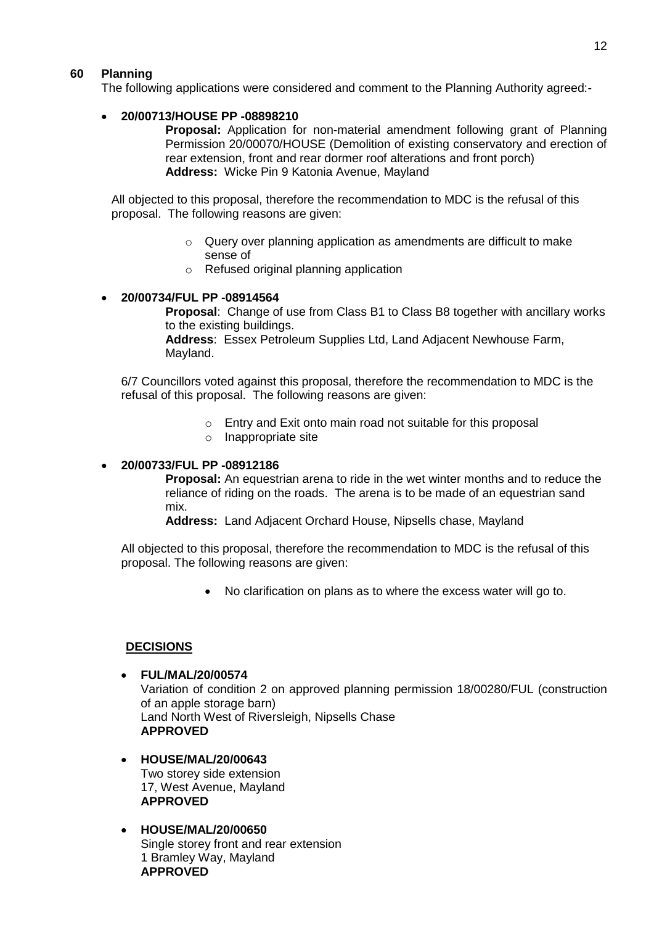## **60 Planning**

The following applications were considered and comment to the Planning Authority agreed:-

## **20/00713/HOUSE PP -08898210**

**Proposal:** Application for non-material amendment following grant of Planning Permission 20/00070/HOUSE (Demolition of existing conservatory and erection of rear extension, front and rear dormer roof alterations and front porch) **Address:** Wicke Pin 9 Katonia Avenue, Mayland

 All objected to this proposal, therefore the recommendation to MDC is the refusal of this proposal. The following reasons are given:

- o Query over planning application as amendments are difficult to make sense of
- o Refused original planning application

#### **20/00734/FUL PP -08914564**

**Proposal**: Change of use from Class B1 to Class B8 together with ancillary works to the existing buildings.

**Address**: Essex Petroleum Supplies Ltd, Land Adjacent Newhouse Farm, Mayland.

6/7 Councillors voted against this proposal, therefore the recommendation to MDC is the refusal of this proposal. The following reasons are given:

- o Entry and Exit onto main road not suitable for this proposal
- o Inappropriate site

### **20/00733/FUL PP -08912186**

**Proposal:** An equestrian arena to ride in the wet winter months and to reduce the reliance of riding on the roads. The arena is to be made of an equestrian sand mix.

**Address:** Land Adjacent Orchard House, Nipsells chase, Mayland

All objected to this proposal, therefore the recommendation to MDC is the refusal of this proposal. The following reasons are given:

No clarification on plans as to where the excess water will go to.

#### **DECISIONS**

- **FUL/MAL/20/00574** Variation of condition 2 on approved planning permission 18/00280/FUL (construction of an apple storage barn) Land North West of Riversleigh, Nipsells Chase **APPROVED**
- **HOUSE/MAL/20/00643** Two storey side extension 17, West Avenue, Mayland **APPROVED**
- **HOUSE/MAL/20/00650** Single storey front and rear extension 1 Bramley Way, Mayland **APPROVED**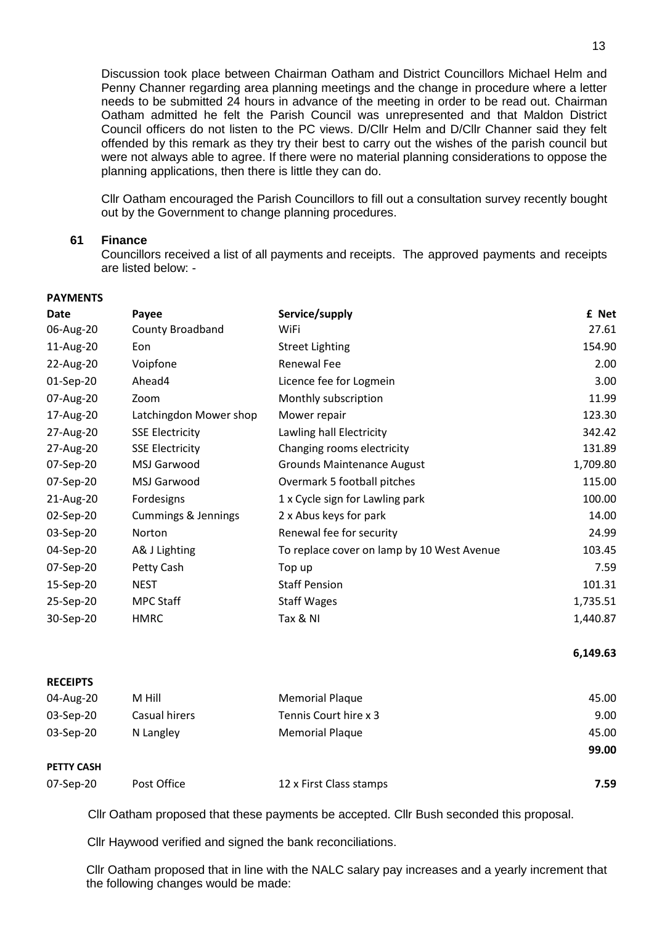Discussion took place between Chairman Oatham and District Councillors Michael Helm and Penny Channer regarding area planning meetings and the change in procedure where a letter needs to be submitted 24 hours in advance of the meeting in order to be read out. Chairman Oatham admitted he felt the Parish Council was unrepresented and that Maldon District Council officers do not listen to the PC views. D/Cllr Helm and D/Cllr Channer said they felt offended by this remark as they try their best to carry out the wishes of the parish council but were not always able to agree. If there were no material planning considerations to oppose the planning applications, then there is little they can do.

Cllr Oatham encouraged the Parish Councillors to fill out a consultation survey recently bought out by the Government to change planning procedures.

### **61 Finance**

**PAYMENTS**

**PETTY CASH**

Councillors received a list of all payments and receipts. The approved payments and receipts are listed below: -

| Date            | Payee                          | Service/supply                             | £ Net    |
|-----------------|--------------------------------|--------------------------------------------|----------|
| 06-Aug-20       | County Broadband               | WiFi                                       | 27.61    |
| 11-Aug-20       | Eon                            | <b>Street Lighting</b>                     | 154.90   |
| 22-Aug-20       | Voipfone                       | <b>Renewal Fee</b>                         | 2.00     |
| 01-Sep-20       | Ahead4                         | Licence fee for Logmein                    | 3.00     |
| 07-Aug-20       | Zoom                           | Monthly subscription                       | 11.99    |
| 17-Aug-20       | Latchingdon Mower shop         | Mower repair                               | 123.30   |
| 27-Aug-20       | <b>SSE Electricity</b>         | Lawling hall Electricity                   | 342.42   |
| 27-Aug-20       | <b>SSE Electricity</b>         | Changing rooms electricity                 | 131.89   |
| 07-Sep-20       | MSJ Garwood                    | <b>Grounds Maintenance August</b>          | 1,709.80 |
| 07-Sep-20       | <b>MSJ Garwood</b>             | Overmark 5 football pitches                | 115.00   |
| 21-Aug-20       | Fordesigns                     | 1 x Cycle sign for Lawling park            | 100.00   |
| 02-Sep-20       | <b>Cummings &amp; Jennings</b> | 2 x Abus keys for park                     | 14.00    |
| 03-Sep-20       | Norton                         | Renewal fee for security                   | 24.99    |
| 04-Sep-20       | A& J Lighting                  | To replace cover on lamp by 10 West Avenue | 103.45   |
| 07-Sep-20       | Petty Cash                     | Top up                                     | 7.59     |
| 15-Sep-20       | <b>NEST</b>                    | <b>Staff Pension</b>                       | 101.31   |
| 25-Sep-20       | MPC Staff                      | <b>Staff Wages</b>                         | 1,735.51 |
| 30-Sep-20       | <b>HMRC</b>                    | Tax & NI                                   | 1,440.87 |
|                 |                                |                                            | 6,149.63 |
| <b>RECEIPTS</b> |                                |                                            |          |
| 04-Aug-20       | M Hill                         | <b>Memorial Plaque</b>                     | 45.00    |
| 03-Sep-20       | Casual hirers                  | Tennis Court hire x 3                      | 9.00     |
| 03-Sep-20       | N Langley                      | <b>Memorial Plaque</b>                     | 45.00    |
|                 |                                |                                            | 99.00    |

07-Sep-20 Post Office 12 x First Class stamps **7.59**

Cllr Oatham proposed that these payments be accepted. Cllr Bush seconded this proposal.

Cllr Haywood verified and signed the bank reconciliations.

Cllr Oatham proposed that in line with the NALC salary pay increases and a yearly increment that the following changes would be made: